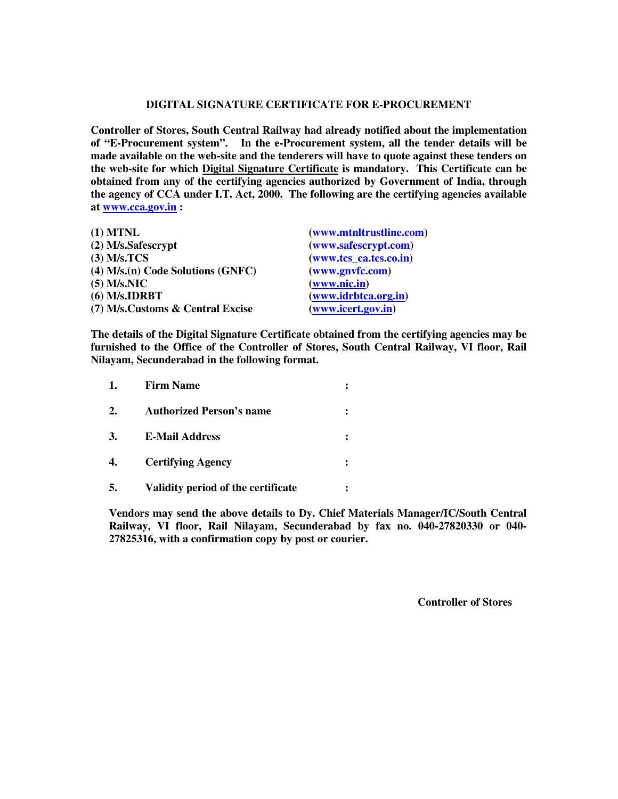## **DIGITAL SIGNATURE CERTIFICATE FOR E-PROCUREMENT**

**Controller of Stores, South Central Railway had already notified about the implementation of "E-Procurement system". In the e-Procurement system, all the tender details will be made available on the web-site and the tenderers will have to quote against these tenders on the web-site for which Digital Signature Certificate is mandatory. This Certificate can be obtained from any of the certifying agencies authorized by Government of India, through the agency of CCA under I.T. Act, 2000. The following are the certifying agencies available at www.cca.gov.in :** 

| $(1)$ MTNL                               | (www.mtnltrustline.com) |
|------------------------------------------|-------------------------|
| $(2)$ M/s.Safescrypt                     | (www.safescrypt.com)    |
| $(3)$ M/s.TCS                            | (www.tcs_ca.tcs.co.in)  |
| $(4)$ M/s. $(n)$ Code Solutions $(GNFC)$ | (www.gnvfc.com)         |
| $(5)$ M/s.NIC                            | (www.nic.in)            |
| $(6)$ M/s.IDRBT                          | (www.idrbtca.org.in)    |
| (7) M/s.Customs & Central Excise         | (www.icert.gov.in)      |

**The details of the Digital Signature Certificate obtained from the certifying agencies may be furnished to the Office of the Controller of Stores, South Central Railway, VI floor, Rail Nilayam, Secunderabad in the following format.** 

| 1. | <b>Firm Name</b>                   |  |
|----|------------------------------------|--|
| 2. | <b>Authorized Person's name</b>    |  |
| 3. | <b>E-Mail Address</b>              |  |
| 4. | <b>Certifying Agency</b>           |  |
| 5. | Validity period of the certificate |  |

**Vendors may send the above details to Dy. Chief Materials Manager/IC/South Central Railway, VI floor, Rail Nilayam, Secunderabad by fax no. 040-27820330 or 040- 27825316, with a confirmation copy by post or courier.** 

 **Controller of Stores**